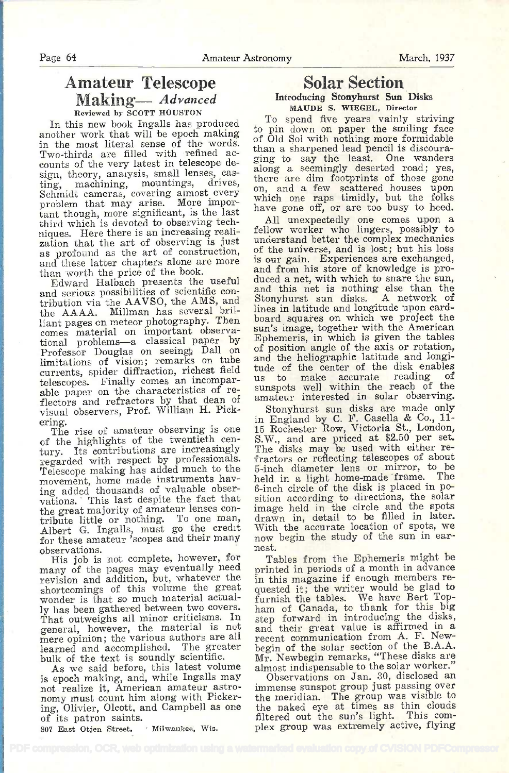## Amateur Telescope Making- Advanced Reviewed by SCOTT HOUSTON

In this new book Ingalls has produced another work that will be epoch making in the most literal sense of the words. counts of the very latest in telescope design, theory, analysis, small lenses, cas-<br>ting, machining, mountings, drives, there are dim footprints of those gone<br>and a few seattered bouses upon Schmidt cameras, covering almost every problem that may arise. More important though, more significant, is the last third which is devoted to observing techniques. Here there is an increasing realization that the art of observing is just as profound as the art of construction, and these latter chapters alone are more than worth the price of the book.

Edward Halbach presents the useful<br>and serious possibilities of scientific contribution via the AAVSO, the AMS, and the AAAA. Miliman has several brilliant pages on meteor photography. Then comes material on important observational problems-a classical paper by Epl Professor Douglas on seeing Dall on of limitations of vision; remarks on tube and<br>limitations of vision; remarks on tube currents, spider diffraction, richest field tude of the center of the disk enables telescopes. Finally comes an incomparable paper on the characteristics of reflectors and refractors by that dean of an visual observers, Prof. William H. Pick-

ering. The rise of amateur observing is one of the highlights of the twentieth cen-<br>tury. Its contributions are increasingly regarded with respect by professionals. Telescope making has added much to the movement, home made instruments have ing added thousands of valuable observations. This last despite the fact that<br>the great majority of amateur lenses conthe great majority of amateur lenses con-<br>tribute little or nothing. To one man, dra Albert G. Ingalls, must go the credit Wit for these amateur 'scopes and their many now begin the study of the sun in earobservations.

His job is not complete, however, for many of the pages may eventually need revision and addition, but, whatever the shortcomings of this volume the great wonder is that so much material actually has been gathered between two covers. That outweighs all minor criticisms. In general, however, the material is not mere opinion; the various authors are all learned and accomplished. The greater bulk of the text is soundly scientific.

As we said before, this latest volume is epoch making, and, while Ingalls may not realize it, American amateur astronomy must count him along with Pickering, Olivier, Olcott, and Campbell as one of its patron saints.

807 East Otjen Street, Milwaukee, Wis.

# Solar Section

#### Introducing Stonyhurst Sun Disks MAUDE S. WIEGEL, Director

To spend five years vainly striving to pin down on paper the smiling face of Old Sol with nothing more formidable than a sharpened lead pencil is discouraging to say the least. One wanders along a seemingly deserted road; yes, on, and a few scattered houses upon which one raps timidly, but the folks have gone off, or are too busy to heed.

All unexpectedly one comes upon a fellow worker who lingers, possibly to understand better the complex mechanics of the universe, and is lost; but his loss is our gain. Experiences are exchanged, and from his store of knowledge is produced a net, with which to snare the sun, and this net is nothing else than the Stonyhurst sua disks. A network of lines in latitude and longitude upon cardboard squares on which we project the sun's image, together with the American Ephemeris, in which is given the tables of position angle of the axis or rotation, and the heliographic latitude and longitude of the center of the disk enables us to make accurate reading of sunspots well within the reach of the amateur interested in solar observing.

Stonyhurst sun disks are made only in England by C. F. Casella & Co., 11. 15 Rochester Row, Victoria St., London, S.W., and are priced at \$2.50 per set. The disks may be used with either refractors or reflecting telescopes of about 5-inch diameter lens or mirror, to be held in a light home-made frame. The 6-inch circle of the disk is placed in position according to directions, the solar image held in the circle and the spots drawn in, detail to be filled in later. With the accurate location of spots, we nest.

Tables from the Ephemeris might be printed in periods of a month in advance in this magazine if enough members requested it; the writer would be glad to furnish the tables. We have Bert Top-ham of Canada, to thank for this big step forward in introducing the disks, and their great value is affirmed in a recent communication from A. F. Newbegin of the solar section of the B.A.A. Mr. Newbegin remarks, "These disks are almost indispensable to the solar worker.'

Observations on Jan. 30, disclosed an immense sunspot group just passing over the meridian. The group was visible to the naked eye at times as thin clouds filtered out the sun's light. This com- plex group was extremely active, flying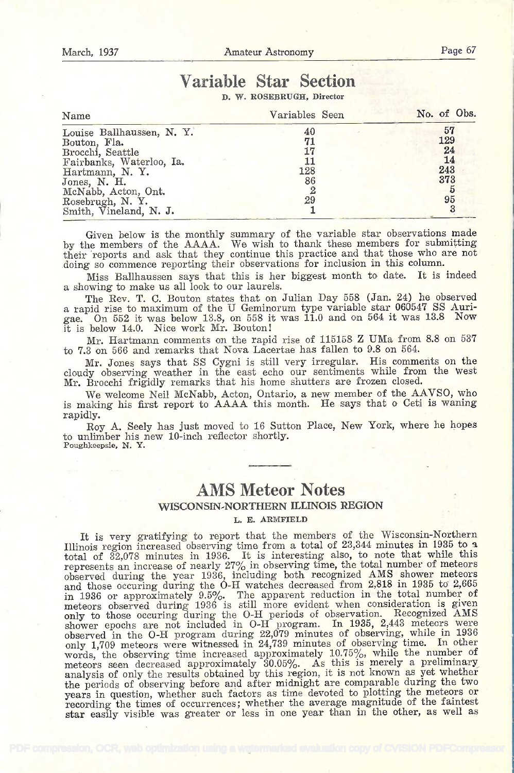# Variable Star Section

D. W. ROSEBRUGH, Director

| Name                     | Variables Seen | No. of Obs. |
|--------------------------|----------------|-------------|
| Louise Ballhaussen, N.Y. | 40             | 57          |
| Bouton, Fla.             | 71             | 129         |
| Brocchi, Seattle         | 17             | 24          |
| Fairbanks, Waterloo, Ia. | 11             | 14          |
| Hartmann, N.Y.           | 128            | 243         |
| Jones, N. H.             | 86             | 373         |
| McNabb, Acton, Ont.      |                |             |
| Rosebrugh, N. Y.         | 29             | 95          |
| Smith, Vineland, N. J.   |                |             |

Given below is the monthly summary of the variable star observations made by the members of the AAAA. We wish to thank these members for submitting their 'reports and ask that they continue this practice and that those who are not doing so commence reporting their observations for inclusion in this column.

Miss Bailhaussen says that this is her biggest month to date. It is indeed a showing to make us all look to our laurels.

The Rev. T. C. Bouton states that on Julian Day 558 (Jan. 24) he observed a rapid rise to maximum of the U Geminorum type variable star 060547 SS Aurigae. On 552 it was below 13.8, on 558 it was 11.0 and on 564 it was 13.8 Now it is below 14.0. Nice work Mr. Bouton!

Mr. Hartmann comments on the rapid rise of 115158 Z UMa from 8.8 on 537 to 7.3 on 566 and remarks that Nova Lacertae has fallen to 9.8 on 564.

Mr. Jones says that SS Cygni is still very irregular. His comments on the cloudy observing weather in the east echo our sentiments while from the west Mr. Brocchi frigidly remarks that his home shutters are frozen closed.

We welcome Neil McNabb, Acton, Ontario, a new member of the AAVSO, who is making his first report to AAAA this month. He says that o Ceti is waning rapidly.

Roy A. Seely has just moved to 16 Sutton Place, New York, where he hopes to unlimber his new 10-inch reflector shortly. Poughkeepsie. N. Y.

# AMS Meteor Notes WISCONSIN-NORTHERN ILLINOIS REGION

L. E. ARMFIELD

It is very gratifying to report that the members of the Wisconsin-Northern<br>Illinois region increased observing time from a total of 23,344 minutes in 1935 to a Illinois region increased observing time from a total of 23,344 minutes in 1935 to a total of 32,078 minutes in 1936. It is interesting also, to note that while this represents an increase of nearly 27% in observing time, the total number of meteors observed during the year 1936, including both recognized AMS shower meteors and those occuring during the O-H watches decreased from 2,818 in 1935 to 2,665 in 1936 or approximately 9.5%. The apparent reduction in the total number of meteors observed during 1936 is still more evident when consideration is given only to those occuring during the O-II periods of observation. Recognized AMS shower epochs are not included in O-H program. In 1935, 2,443 meteors were observed in the O-H program during .22,079 minutes of observing, while in <sup>1936</sup> only 1,709 meteors were witnessed in 24,739 minutes of observing time. In other words, the observing time increased approximately 10.75%, while the number of meteors seen decreased approximately 30.05%. As this is merely a preliminary analysis of only the results obtained by this region, it is not known as yet whether the periods of observing before and after midnight are comparable during the two years in question, whether such factors as time devoted to plotting the meteors or recording the times of occurrences; whether the average magnitude of the faintest star easily visible was greater or less in one year than in the other, as well as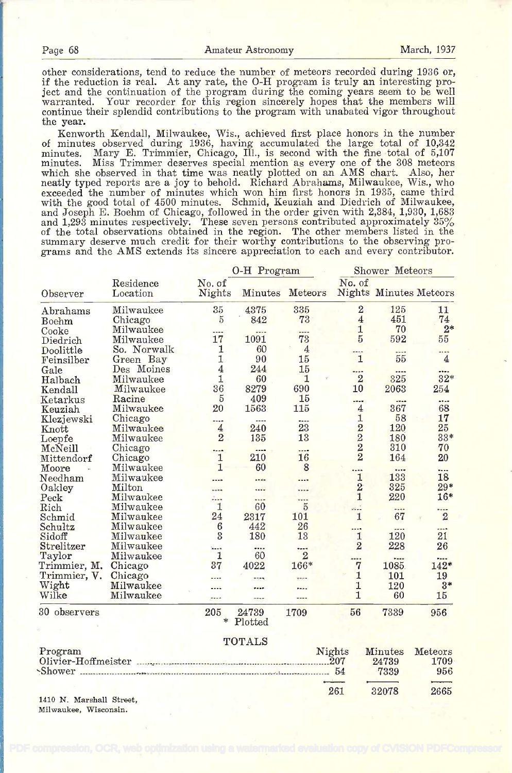261 32078 2665

other considerations, tend to reduce the number of meteors recorded during 1936 or, if the reduction is real. At any rate, the O-H program is truly an interesting project and the continuation of the program during the coming years seem to be well warranted. Your recorder for this region sincerely hopes that the members will continue their splendid contributions to the program with unabated vigor throughout the year.

Kenworth Kendall, Milwaukee, Wis., achieved first place honors in the number of minutes observed during 1936, having accumulated the large total of 10,342 minutes. Mary E. Trimmier, Chicago, III., is second with the fine total of 5,107 minutes. Miss Trimmer deserves special mention as every one of the 308 meteors which she observed in that time was neatly plotted on an AMS chart. Also, her neatly typed reports are a joy to behold. Richard Abrahams, Milwaukee, Wis., who exceeded the number of minutes which won him first honors in 1935, came third with the good total of 4500 minutes. Schmid, Keuziah and Diedrich of Milwaukee, and Joseph E. Boehm of Chicago, followed in the order given with 2,384, 1,930, 1,683 and 1,293 minutes respectively. These seven persons contributed approximately 35% of the total observations obtained in the region. The other members listed in the summary deserve much credit for their worthy contributions to the observing programs and the AMS extends its sincere appreciation to each and every contributor.

|              |                       | O-H Program      |                          |                |                                                  |                               | Shower Meteors |  |  |  |  |
|--------------|-----------------------|------------------|--------------------------|----------------|--------------------------------------------------|-------------------------------|----------------|--|--|--|--|
| Observer     | Residence<br>Location | No. of<br>Nights | Minutes                  | Meteors        | No. of                                           | <b>Nights Minutes Meteors</b> |                |  |  |  |  |
| Abrahams     | Milwaukee             | 35               | 4375                     | 335            | $\overline{2}$                                   | 125                           | 11             |  |  |  |  |
| <b>Boehm</b> | Chicago               | 5                | 842                      | 73             | $\overline{4}$                                   | 451                           | 74             |  |  |  |  |
| Cooke        | Milwaukee             | ----             | ----                     | $- - -$        | $\mathbf{1}$                                     | 70                            | $2*$           |  |  |  |  |
| Diedrich     | Milwaukee             | 17               | 1091                     | 73             | $\overline{5}$                                   | 592                           | 55             |  |  |  |  |
| Doolittle    | So. Norwalk           | 1                | 60                       | $\overline{4}$ | $- - - -$                                        |                               |                |  |  |  |  |
| Feinsilber   | Green Bay             | 1                | 90                       | 15             | $\mathbf{1}$                                     | 55                            | $\overline{4}$ |  |  |  |  |
| Gale         | Des Moines            | 4                | 244                      | 15             | ----                                             |                               |                |  |  |  |  |
| Halbach      | Milwaukee             | 1                | 60                       | 1              | $\overline{2}$                                   | 325                           | $32*$          |  |  |  |  |
| Kendall      | Milwaukee             | 36               | 8279                     | 690            | 10                                               | 2063                          | 254            |  |  |  |  |
| Ketarkus     | Racine                | $\overline{5}$   | 409                      | 15             | ----                                             | ----                          |                |  |  |  |  |
| Keuziah      | Milwaukee             | 20               | 1563                     | 115            | $\overline{4}$                                   | 367                           | 68             |  |  |  |  |
| Klezjewski   | Chicago               | ----             | ----                     | ----           | 1                                                | 58                            | 17             |  |  |  |  |
| Knott        | Milwaukee             | 4                | 240                      | 23             |                                                  | 120                           | 25             |  |  |  |  |
| Loepfe       | Milwaukee             | $\overline{2}$   | 135                      | 13             |                                                  | 180                           | $33*$          |  |  |  |  |
| McNeill      | Chicago               |                  |                          |                | $\begin{array}{c}\n 2 \\  2 \\  2\n \end{array}$ | 310                           | 70             |  |  |  |  |
| Mittendorf   | Chicago               | 1                | 210                      | 16             |                                                  | 164                           | 20             |  |  |  |  |
| Moore        | Milwaukee             | 1                | 60                       | 8              |                                                  |                               | $- - -$        |  |  |  |  |
| Needham      | Milwaukee             |                  |                          |                | $\mathbf{1}$                                     | 133                           | 18             |  |  |  |  |
| Oakley       | Milton                | $- - - -$        | $\overline{\phantom{a}}$ | ----           |                                                  | 325                           | $29*$          |  |  |  |  |
| Peck         | Milwaukee             |                  | $\overline{\phantom{a}}$ | $- - - -$      | $\frac{2}{1}$                                    | 220                           | $16*$          |  |  |  |  |
| Rich         | Milwaukee             | 1                | 60                       | $\overline{5}$ | e.                                               | 1.11                          |                |  |  |  |  |
| Schmid       | Milwaukee             | 24               | 2317                     | 101            | $\mathbf{1}$                                     | 67                            | $\overline{2}$ |  |  |  |  |
| Schultz      | Milwaukee             | $6\phantom{1}6$  | 442                      | 26             | ----                                             | ----                          | ----           |  |  |  |  |
| Sidoff       | Milwaukee             | $\mathbf{3}$     | 180                      | 13             | $\mathbf{1}$                                     | 120                           | 21             |  |  |  |  |
| Strelitzer   | Milwaukee             | $---$            | ----                     |                | $\overline{2}$                                   | 228                           | 26             |  |  |  |  |
| Taylor       | Milwaukee             | $\mathbf{1}$     | 60                       | $\overline{2}$ |                                                  |                               |                |  |  |  |  |
| Trimmier, M. | Chicago               | 37               | 4022                     | 166*           | <br>7                                            | $\overline{a}$<br>1085        | <br>$142*$     |  |  |  |  |
| Trimmier, V. | Chicago               | ----             |                          |                | $\mathbf{1}$                                     | 101                           | 19             |  |  |  |  |
| Wight        | Milwaukee             |                  | ngng                     | $1 - 1$        | 1                                                | 120                           | $3*$           |  |  |  |  |
| Wilke        | Milwaukee             |                  |                          |                | $\mathbf{1}$                                     | 60                            | 15             |  |  |  |  |
|              |                       |                  | $\cdots$                 | ----           |                                                  |                               |                |  |  |  |  |
| 30 observers |                       | 205<br>$\ast$    | 24739<br>Plotted         | 1709           | 56                                               | 7339                          | 956            |  |  |  |  |
|              |                       |                  | TOTALS                   |                |                                                  |                               |                |  |  |  |  |
|              |                       |                  |                          |                |                                                  |                               |                |  |  |  |  |
| Program      |                       |                  |                          |                | Nights                                           | Minutes                       | Meteors        |  |  |  |  |
|              | Olivier-Hoffmeister   |                  |                          |                | 207                                              | 24739                         | 1709           |  |  |  |  |
|              |                       |                  |                          |                | 54                                               | 7339                          | 956            |  |  |  |  |
|              |                       |                  |                          |                |                                                  |                               |                |  |  |  |  |

1410 N. Marshall Street, Milwaukee, Wisconsin.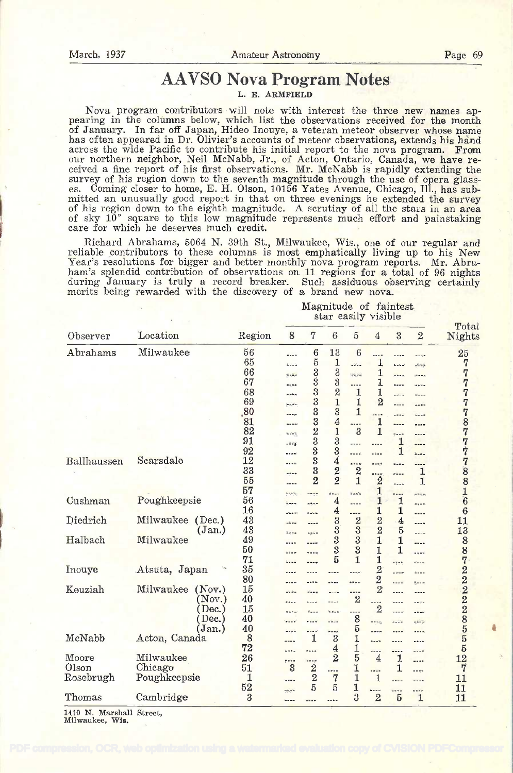# AAVSO Nova Program Notes

L. E. ARMFIELD

Nova program contributors will note with interest the three new names appearing in the columns below, which list the observations received for the month of January. In far off Januar, Hideo Inouye, a veteran meteor observe has often appeared in Dr. Olivier's accounts of meteor observations, extends his hand<br>across the wide Pacific to contribute his initial report to the nova program. From<br>our northern neighbor, Neil McNabb, Jr., of Acton, On es. Coming closer to home, E. H. Olson, 10156 Yates Avenue, Chicago, Ill., has sub-<br>mitted an unusually good report in that on three evenings he extended the survey<br>of his region down to the eighth magnitude. A scrutiny of of sky 10° square to this low magnitude represents much effort and painstaking care for which he deserves much credit.

Richard Abrahams, 5064 N. 39th St., Milwaukee, Wis., one of our regular and reliable contributors to these columns is most emphatically living up to his New Year's resolutions for bigger and better monthly nova program reports. Mr. Abraham's splendid contribution of observations on 11 regions for a total of 96 nights during January is truly a record breaker. Such assiduous observing certainly merits being rewarded with the discovery of a brand new nova.

> Magnitude of faintest star easily visible

|             |                     |        |                |                  |                 |                |                |                               |                                                                                                                                                                                                                                                                                                                                                             | Total            |   |
|-------------|---------------------|--------|----------------|------------------|-----------------|----------------|----------------|-------------------------------|-------------------------------------------------------------------------------------------------------------------------------------------------------------------------------------------------------------------------------------------------------------------------------------------------------------------------------------------------------------|------------------|---|
| Observer    | Location            | Region | 8              | $\overline{7}$   | $6\phantom{.}6$ | $\overline{5}$ | $\overline{4}$ | 3                             | $\overline{2}$                                                                                                                                                                                                                                                                                                                                              | Nights           |   |
| Abrahams    | Milwaukee           | 56     | $\cdots$       | 6                | 13              | 6              | $1 - 1$        |                               |                                                                                                                                                                                                                                                                                                                                                             | 25               |   |
|             |                     | 65     | <b>Lunia</b>   | $\overline{5}$   | 1               | aldan          | 1              | 5.58                          | جناتاته                                                                                                                                                                                                                                                                                                                                                     | 7                |   |
|             |                     | 66     | مغبرة          | 3                | $\rm 3$         | <b>WARM</b>    | 1              | $\frac{1}{2}$                 | $27 - 27$                                                                                                                                                                                                                                                                                                                                                   | 7                |   |
|             |                     | 67     |                | Ś                | 3               | .              | 1              | $n = n$                       | <b>Mik Win</b>                                                                                                                                                                                                                                                                                                                                              | 7                |   |
|             |                     | 68     | m désa         | $\frac{3}{3}$    | $\overline{2}$  | 1              | 1              | $-$                           | س سان                                                                                                                                                                                                                                                                                                                                                       | 7                |   |
|             |                     | 69     | متوجع          |                  | 1               | 1              | $\overline{2}$ |                               | $-5$                                                                                                                                                                                                                                                                                                                                                        | 7                |   |
|             |                     | .80    | ----           | 3                | 3               | 1              | ----           |                               |                                                                                                                                                                                                                                                                                                                                                             | 7                |   |
|             |                     | 81     |                | 3                | $\overline{4}$  |                | 1              | ----                          | $- - - -$                                                                                                                                                                                                                                                                                                                                                   | 8                |   |
|             |                     | 82     | بازمنت         | $\overline{2}$   | $\mathbf{1}$    | 3              | 1              | $\frac{1}{2}$                 | 1.11                                                                                                                                                                                                                                                                                                                                                        | 7                |   |
|             |                     | 91     | $-148$         | 3                | 3               | ----           |                | 1                             |                                                                                                                                                                                                                                                                                                                                                             | 7                |   |
|             |                     | 92     |                | 3                | 3               | مست            | ----           | 1                             | $\frac{1}{2}$                                                                                                                                                                                                                                                                                                                                               | 7                |   |
| Ballhaussen | Scarsdale           | 12     |                | 3                | $\overline{4}$  | ----           |                |                               |                                                                                                                                                                                                                                                                                                                                                             | 7                |   |
|             |                     | 33     |                | $\overline{3}$   | $\overline{2}$  | $\overline{2}$ |                | 1.11<br>                      | ----<br>1                                                                                                                                                                                                                                                                                                                                                   | 8                |   |
|             |                     | 55     |                | $\overline{2}$   | $\overline{2}$  | 1              | <br>2          |                               | $\mathbf{1}$                                                                                                                                                                                                                                                                                                                                                | 8                |   |
|             |                     | 57     | ----           |                  |                 |                | 1              | $\cdots$                      |                                                                                                                                                                                                                                                                                                                                                             | 1                |   |
| Cushman     | Poughkeepsie        | 56     | <b>FRW</b>     | 1755             | <br>4           | بتورد          | 1              | <br>1                         | $-0.000$                                                                                                                                                                                                                                                                                                                                                    | $\boldsymbol{6}$ |   |
|             |                     | 16     | 325.7          | 0.500            | 4               | ----           | 1              | 1                             | ----                                                                                                                                                                                                                                                                                                                                                        | 6                |   |
| Diedrich    | Milwaukee<br>(Dec.) | 43     | $-0.65$        | n a leis         | $\overline{3}$  | <br>2          | $\overline{2}$ |                               | ----                                                                                                                                                                                                                                                                                                                                                        | 11               |   |
|             | $(\text{Jan.})$     | 43     |                |                  | 3               | 3              | $\overline{2}$ | 4<br>5                        |                                                                                                                                                                                                                                                                                                                                                             | 13               |   |
| Halbach     | Milwaukee           | 49     |                |                  | 3               | 3              | 1              | 1                             |                                                                                                                                                                                                                                                                                                                                                             |                  |   |
|             |                     | 50     |                |                  |                 | 3              |                |                               | ----                                                                                                                                                                                                                                                                                                                                                        | 8                |   |
|             |                     |        |                |                  | 3               |                | 1              | 1                             | $\frac{1}{2} \sum_{i=1}^n \frac{1}{2} \sum_{i=1}^n \frac{1}{2} \sum_{i=1}^n \frac{1}{2} \sum_{i=1}^n \frac{1}{2} \sum_{i=1}^n \frac{1}{2} \sum_{i=1}^n \frac{1}{2} \sum_{i=1}^n \frac{1}{2} \sum_{i=1}^n \frac{1}{2} \sum_{i=1}^n \frac{1}{2} \sum_{i=1}^n \frac{1}{2} \sum_{i=1}^n \frac{1}{2} \sum_{i=1}^n \frac{1}{2} \sum_{i=1}^n \frac{1}{2} \sum_{i=$ | 8                |   |
|             |                     | 71     | ----           | ----             | 5               | $\mathbf{1}$   | 1              | $\mathbb{F}_q$ of             | ÷---                                                                                                                                                                                                                                                                                                                                                        | $\overline{7}$   |   |
| Inouye      | Atsuta, Japan       | 35     |                |                  |                 |                | $\overline{2}$ | $-1$                          |                                                                                                                                                                                                                                                                                                                                                             | $\overline{2}$   |   |
|             |                     | 80     |                |                  |                 |                | $\overline{2}$ |                               | $\frac{1}{2}$ = = $\approx$                                                                                                                                                                                                                                                                                                                                 | $\overline{2}$   |   |
| Keuziah     | Milwaukee<br>(Nov.) | 15     | وقوعات         | 1.144            | $- - -$         | ----           | $\overline{2}$ | ----                          |                                                                                                                                                                                                                                                                                                                                                             | $\overline{2}$   |   |
|             | (Now.)              | 40     |                |                  | and and         | $\overline{2}$ |                | ----                          |                                                                                                                                                                                                                                                                                                                                                             |                  |   |
|             | $Dec.$ )            | 15     |                | $\ddotsc$        | $5.6 - 4$       | ----           | $\overline{2}$ | ----                          | وتوافع                                                                                                                                                                                                                                                                                                                                                      | $\frac{2}{2}$    |   |
|             | $Dec.$ )            | 40     |                |                  | $-2.76$         | 8              | $-0.00$        | $n = 1$                       | متشفيه                                                                                                                                                                                                                                                                                                                                                      |                  |   |
|             | Jan.)               | 40     | Anjin          |                  |                 | 5              | $+ + - 1$      | ----                          |                                                                                                                                                                                                                                                                                                                                                             | $\overline{5}$   | û |
| McNabb      | Acton, Canada       | 8      | ----           | 1                | 3               | 1              | كالأسامة       | ----                          | - - - -                                                                                                                                                                                                                                                                                                                                                     | 5                |   |
|             |                     | 72     | <b>AMBA</b>    |                  | 4               | $\frac{1}{5}$  | ----           |                               |                                                                                                                                                                                                                                                                                                                                                             | 5                |   |
| Moore       | Milwaukee           | 26     |                | $-$              | $\overline{2}$  |                | $\overline{4}$ | 1                             | ----                                                                                                                                                                                                                                                                                                                                                        | 12               |   |
| Olson       | Chicago             | 51     | 3              | $\boldsymbol{2}$ | ----            | 1              |                | 1                             | $1 - 5 -$                                                                                                                                                                                                                                                                                                                                                   | 7                |   |
| Rosebrugh   | Poughkeepsie        | 1      | 1.111          | $\overline{2}$   | 7               | $\overline{1}$ | 1              |                               | ----                                                                                                                                                                                                                                                                                                                                                        | 11               |   |
|             |                     | 52     |                | 5                | 5               |                |                |                               |                                                                                                                                                                                                                                                                                                                                                             |                  |   |
|             |                     |        |                |                  |                 |                |                |                               |                                                                                                                                                                                                                                                                                                                                                             |                  |   |
| Thomas      | Cambridge           | 3      | sing's<br>---- |                  |                 | 1<br>3         | $\overline{2}$ | $- - -$<br><br>$\overline{5}$ | <br>$\mathbf{1}$                                                                                                                                                                                                                                                                                                                                            | 11<br>11         |   |

1410 N. Marshall Street,<br>Milwaukee, Wis.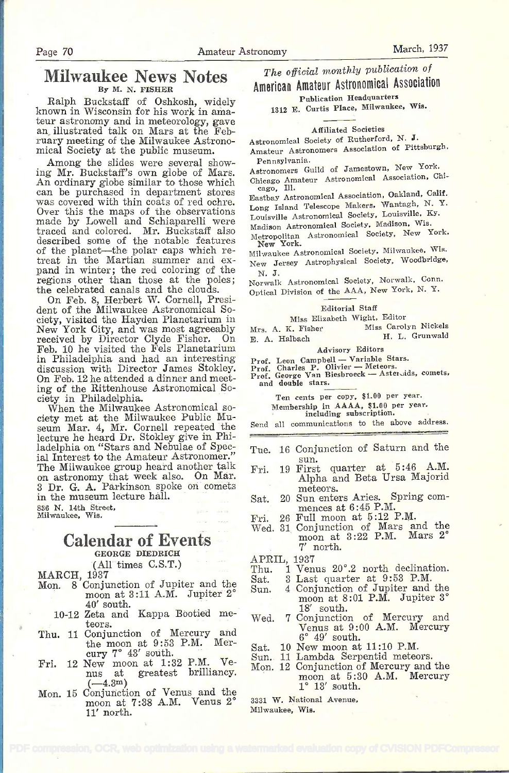## Milwaukee News Notes By M. N. FISHER

Ralph Buckstaff of Oshkosh, widely known in Wisconsin for his work in ama- teur astronomy and in meteorology, gave an illustrated talk on Mars at the February meeting of the Milwaukee Astronomical Society at the public museum.

Among the slides were several showing Mr. Buckstaff's own globe of Mars.<br>An ordinary globe similar to those which can be purchased in department stores was covered with thin coats of red ochre. Over this the maps of the observations  $\frac{\text{Lon}}{\text{Lon}}$ made by Lowell and Schiaparelli were<br>traced and colored. Mr. Buckstaff also  $\frac{\text{Mae}}{\text{Mote}}$ described some of the notable features of the planet--the polar caps which re-<br>treat in the Martian summer and expand in winter; the red coloring of the  $N_{N}$ , J. regions other than those at the poles; the celebrated canals and the clouds.

On Feb. 8, Herbert W. Cornell, President of the Milwaukee Astronomical Society, visited the Hayden Planetarium in New York City, and was most agreeably Mrs New York City, and was most agreeably Mrs. A. K. Fisher received by Director Clyde Fisher. On E. A. Halbach Feb. 10 he visited the Fels Planetarium in Philadelphia and had an interesting discussion with Director James Stokley. Pro On Feb. 12 he attended a dinner and meeting of the Rittenhouse Astronomical So-

When the Milwaukee Astronomical so-<br>ciety met at the Milwaukee Public Mu-<br>seum Mar. 4, Mr. Cornell repeated the lecture he heard Dr. Stokley give in Philadelphia on "Stars and Nebulae of Special Interest to the Amateur Astronomer."<br>The Milwaukee group heard another talk The Milwaukee group heard another talk Fri.<br>on astronomy that week also. On Mar. 3 Dr. G. A. Parkinson spoke on comets in the museum lecture hall. <sup>886</sup>N. 14th Street, Milwaukee. Wis.

## Calendar of Events GEORGE DIEDRICH

MARCH, 1937

- Mon. 8 Conjunction of Jupiter and the Sat.<br>Mon. 8 Conjunction of Jupiter and the moon at 3:11 A.M. Jupiter 2° 40' south.
	- 10-12 Zeta and Kappa Bootied me- teors.
- Thu. 11 Conjunction of Mercury and the moon at 9:53 P.M. Mercury  $7^\circ$  43' south.
- Fri. 12 New moon at 1:32 P.M. Ve-<br>nus at greatest brilliancy. nus at greatest brilliancy.<br>(—4.3<sup>m</sup>)
- Mon. 15 Conjunction of Venus and the moon at 7:38 A.M. Venus 2° 11' north.

The official monthly publication of **American Amateur Astronomical Association** 

Publication Headquarters 1312 E. Curtis Place, Milwaukee, Wis.

Affiliated Societies<br>Astronomical Society of Rutherford, N. J.

Amateur Astronomers Association of Pittsburgh, Pennsylvania.

Pennsylvania. Astronomers Guild of Jamestown, New York.

Chicago Amateur Astronomical Association, Chi-cago. Ill.

Eastbay Astronomical Association, Oakland, Calif. Long Island Telescope Makers, Wantagh, N. Y. Louisville Astronomical Society, Louisville, Ky.<br>Madison Astronomical Society, Madison, Wis.

- 
- Madison Astronomical Society, Madison, Wis.<br>Metropolitan Astronomical Society, New York.<br>New York. Milwaukee Astronomical Society, Milwaukee. Wis.

New Jersey Astrophysical Society, Woodbridge,

N. J. Norwalk Astronomical Society, Norwalk, Conn. Optical Division of the AAA, New York, N. Y.

#### Editorial Staff

Miss Elizabeth Wight, Editor

Miss Carolyn Nickels<br>H. L. Grunwald E. A. Halbach **H. L. Grupper H. L. Grupper H. L. Grupper H. L. Grupper H. L. Grupper H. L. Grupper H. L. Grupper H. L. Grupper H. L. Grupper H. L. Grupper H. L. Grupper H. L. Grupper H. L. Grupper H. L. Grupper H. L. Grupp** 

Advisory Editors<br>
Prof. Leon Campbell - Variable Stars.<br>
Prof. Charles P. Olivier - Meteors.<br>
Prof. George Van Biesbroeck - Aster,ids, comets.<br>
and double stars.

Ten cents per copy, \$1.00 per year. Membership in AAAA, \$1.00 per year. including subscription.

Send all communications to the above address.

- Tue. 16 Conjunction of Saturn and the sun.<br>Fri. 19 First quarter at 5:46 A.M.
- Alpha and Beta Ursa Majorid meteors.
- Sat. 20 Sun enters Aries. Spring com- mences at 6:45 P.M.
- Fri. 26 Full moon at 5:12 P.M.
- Wed. 31 Conjunction of Mars and the moon at 3:22 P.M. Mars 2° 7' north.

- APRIL, 1937<br>Thu. 1 Ven 1 Venus 20°.2 north declination.
- 3 Last quarter at 9:53 P.M.
- Sun. 4 Conjunction of Jupiter and the moon at 8:01 P.M. Jupiter 3° 18' south.
- Wed. 7 Conjunction of Mercury and<br>
Venus at 9:00 A.M. Mercury<br>
6° 49' south.  $6^\circ$  49' south.<br>Sat. 10 New moon at 11:10 P.M.
- 
- 
- Sun. 11 Lambda Serpentid meteors. moon at  $5:30$  A.M. Mercury  $1^{\circ}$  13' south.

<sup>3331</sup>W. National Avenue, Milwaukee, Wis.

(All times C.S.T.)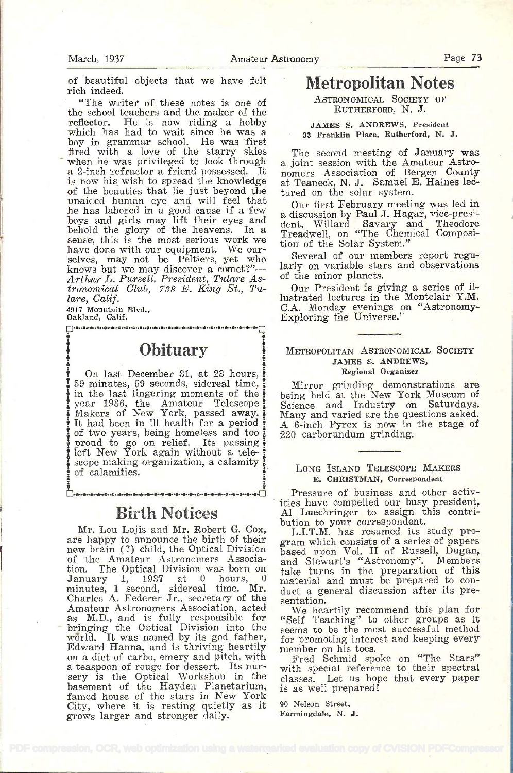of beautiful objects that we have felt rich indeed.

"The writer of these notes is one of the school teachers and the maker of the reflector. He is now riding a hobby which has had to wait since he was a boy in grammar school. He was first fired with a love of the starry skies when he was privileged to look through a 2-inch refractor a friend possessed. It is now his wish to spread the knowledge at T<br>of the beauties that lie just beyond the ture<br>unaided human eye and will feel that he has labored in a good cause if a few a d<br>boys and girls may lift their eyes and a dependence the glory of the heavens. In a Tre sense, this is the most serious work we include the Solar System."<br>have done with our equipment. We our-<br>selves, may not be Peltiers, yet who several of our members and characterized knows but we may discover a comet?" $\frac{|\text{lar}|}{\text{lar}|}$ Arthur L. Pursell, President, Tulare Astronomical Club, 738 E. King St., Tulare, Calif.

4917 Mountain Blvd.,<br>Oakland, Calif.

e

**Obituary** 

On last December 31, at 23 hours, 59 minutes, 59 seconds, sidereal time, in the last lingering moments of the  $\frac{1}{2}$  year 1936, the Amateur Telescope  $\frac{1}{2}$  Makers of New York, passed away. It had been in ill health for a period  $\frac{1}{4}$ i of two years, being homeless and too i  $\frac{1}{2}$  proud to go on relief. Its passing  $\frac{1}{2}$ scope making organization, a calamity of calamities.

## Birth Notices

 $\ddot{\bullet}$   $\ddot{\bullet}$ 

Mr. Lou Lojis and Mr. Robert G. Cox, are happy to announce the birth of their new brain (?) child, the Optical Division of the Amateur Astronomers Associa-<br>tion. The Optical Division was born on tion. The Optical Division was born on take<br>January 1, 1937 at 0 hours, 0 may<br>minutes, 1 second, sidereal time. Mr. duc<br>Charles A. Federer Jr., secretary of the sen Amateur Astronomers Association, acted as M.D., and is fully responsible for  $\alpha_{\text{see}}$ <br>bringing the Optical Division into the see Edward Hanna, and is thriving heartily on a diet of carbo, emery and pitch, with a teaspoon of rouge for dessert. Its nursery is the Optical Workshop in the basement of the Hayden Planetarium, famed house of the stars in New York<br>City, where it is resting quietly as it  $\frac{100 \text{ N}}{100 \text{ N}}$ grows larger and stronger daily.

# Metropolitan Notes

ASTRONOMICAL SOCIETY OF RUTHERFORD, N. J.

#### JAMES S. ANDREWS, President <sup>38</sup>Franklin Place. Rutherford, N. J.

The second meeting of January was a joint session with the Amateur Astronomers Association of Bergen County at Teaneck, N. J. Samuel E. Haines lectured on the solar system.

Our first February meeting was led in a discussion by Paul J. Hagar, vice-presi-<br>dent. Willard Savary and Theodore dent, Willard Savary and Theodore Treadwell, on "The Chemical Composition of the Solar System."

larly on variable stars and observations of the minor planets.

Our President is giving a series of illustrated lectures in the Montclair Y.M. C.A. Monday evenings on "Astronomy-<br>Exploring the Universe."

#### METROPOLITAN ASTRONOMICAL SOCIETY JAMES S. ANDREWS, Regional Organizer

Mirror grinding demonstrations are being held at the New York Museum of Science and Industry on Saturdays. Many and varied are the questions asked. A 6-inch Pyrex is now in the stage of 220 carborundum grinding.

#### LONG ISLAND TELESCOPE MAKERS E. CHRISTMAN, Correspondent

Pressure of business and other activities have compelled our busy president, Al Luechringer to assign this contribution to your correspondent.

L.I.T.M. has resumed its study program which consists of a series of papers based upon Vol. II of Russell, Dugan, and Stewart's "Astronomy". Members take turns in the preparation of this material and must be prepared to con-<br>duct a general discussion after its preduct a general discussion after its pre-<br>sentation.

We heartily recommend this plan for "Self Teaching" to other groups as it seems to be the most successful method for promoting interest and keeping every member on his toes.

Fred Schmid spoke on "The Stars" with special reference to their spectral classes. Let us hope that every paper is as well prepared!

90 Nelson Street, Farmingdale, N. J.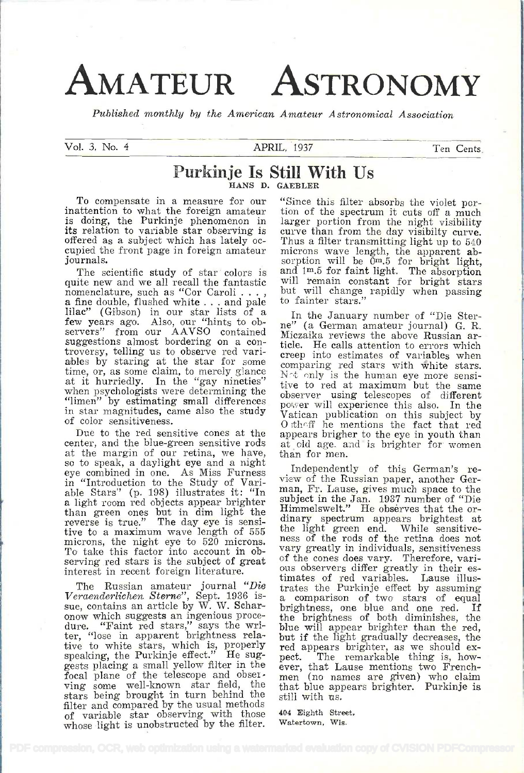# AMATEUR ASTRONOMY

Published monthly by the American Amateur A stronomical Association

Vol. 3, No. 4 **APRIL, 1937** Ten Cents

## Purkinje Is Still With Us HANS D. GAEBLER

To compensate in a measure for our "Since this filter absorbs the violet por-<br>inattention to what the foreign amateur tion of the spectrum it cuts off a much is doing, the Purkinje phenomenon in its relation to variable star observing is<br>offered as a subject which has lately occupied the front page in foreign amateur journals.

quite new and we all recall the fantastic nomenclature, such as "Cor Caroli  $\dots$ , a fine double, flushed white . . . and pale lilac" (Gibson) in our star lists of a few years ago. Also, our "hints to observers" from our AAVSO contained<br>suggestions almost bordering on a controversy, telling us to observe red variables by staring at the star for some time, or, as some claim, to merely glance  $\frac{\text{core}}{\text{Ne}}$ at it hurriedly. In the "gay nineties"  $\frac{1}{100}$ <br>when psychologists were determining the when psychologists were determining the observer using telescopes of different<br>"limen" by estimating small differences posser will experience this also. In the in star magnitudes, came also the study of color sensitiveness.

Due to the red sensitive cones at the center, and the blue-green sensitive rods at cld age. a<br>at the margin of our retina, we have, than for men. at the margin of our retina, we have, than for men.<br>so to speak, a daylight eye and a night<br>eye combined in one As Miss Furness Independently of this German's reeye combined in one. As Miss Furness in "Introduction to the Study of Vari-<br>able Stars" (p. 198) illustrates it: "In able Stars" (p. 198) illustrates it: "In man a light room red objects appear brighter subterly than green ones but in dim light the Hin tive to a maximum wave length of 555 the light green end. microns, the night eye to 520 microns. net To take this factor into account in observing red stars is the subject of great interest in recent foreign literature.

The Russian amateur journal "Die  $tr_i$ Veraenderlichen Sterne", Sept. 1936 issue, contains an article by W. W. Schar- onow which suggests an ingenious procedure. "Faint red stars," says the writer, "lose in apparent brightness relative to white stars, which is, properly speaking, the Purkinje effect." He suggests placing a small yellow filter in the eve focal plane of the telescope and observing some well-known star field, the the stars being brought in turn behind the stil filter and compared by the usual methods of variable star observing with those whose light is unobstructed by the filter.

The scientific study of star colors is  $\alpha$  and  $1^m.5$  for faint light. The absorption ite new and we all recall the fantastic will remain constant for bright stars tion of the spectrum it cuts off a much larger portion from the night visibility curve than from the day visibility curve.<br>Thus a filter transmitting light up to 540 microns wave length, the apparent absorption will be  $\overline{0m.5}$  for bright light, and 1<sup>m</sup>.5 for faint light. The absorption will remain constant for bright stars but will change rapidly when passing to fainter stars."

> In the January number of "Die Sterne" (a German amateur journal) G. R. Miczaika reviews the above Russian article. He calls attention to errors which creep into estimates of variables when comparing red stars with white stars. Not only is the human eye more sensitive to red at maximum but the same power will experience this also. In the Vatican publication on this subject by Otheff he mentions the fact that red appears brigher to the eye in youth than at old age. and is brighter for women

view of the Russian paper, another German, Fr. Lause, gives much space to the subject in the Jan. 1937 number of "Die Himmelswelt." He obsérves that the or- dinary spectrum appears brightest at dinary spectrum appears brightest at the light green end. While sensitive-<br>ness of the rods of the retina does not vary greatly in individuals, sensitiveness<br>of the cones does vary. Therefore, various observers differ greatly in their estrates the Purkinje effect by assuming <sup>a</sup>comparison of two stars of equal brightness, one blue and one red. If the brightness of both diminishes, the blue will appear brighter than the red, but if the light gradually decreases, the red appears brighter, as we should expect. The remarkable thing is, how-<br>ever, that Lause mentions two Frenchever, that Lause mentions two French- men (no names are given) who claim that blue appears brighter. Purkinje is still with us.

404 Eighth Street, Watertown, Wis.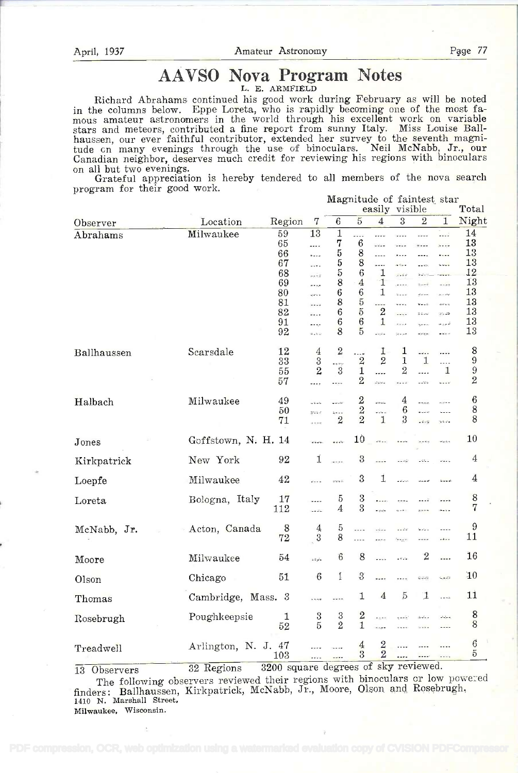# AÀVSO Nova Program Notes

L. E. ARMFIELD

Richard Abrahams continued his good work during February as will be noted in the columns below. Eppe Loreta, who is rapidly becoming one of the most fa- mous amateur astronomers in the world through his excellent work on variable stars and meteors, contributed a fine report from sunny Italy. Miss Louise Ballhaussen, our ever faithful contributor, extended her survey to the seventh magnitude on many evenings through the use of binoculars. Neil McNabb, Jr., our Canadian neighbor, deserves much credit for reviewing his regions with binoculars on all but two evenings. Grateful appreciation is hereby tendered to all members of the nova search

Grateful appreciation is hereby tendered to all members of the nova search program for their good work. Magnitude of faintest star

|             |                                                   |                                                                |                                                                                            |                                                               |                                                                                                      | magnitude of faintest star<br>easily visible                                  |                                                                                                                     |                                                             |                                                                                                                     | Total                                                          |  |
|-------------|---------------------------------------------------|----------------------------------------------------------------|--------------------------------------------------------------------------------------------|---------------------------------------------------------------|------------------------------------------------------------------------------------------------------|-------------------------------------------------------------------------------|---------------------------------------------------------------------------------------------------------------------|-------------------------------------------------------------|---------------------------------------------------------------------------------------------------------------------|----------------------------------------------------------------|--|
| Observer    | Location                                          | Region                                                         | 7                                                                                          | $\boldsymbol{6}$                                              | $\overline{5}$                                                                                       | $\overline{4}$                                                                | 3                                                                                                                   | $\overline{2}$                                              | $\mathbf{1}$                                                                                                        | Night                                                          |  |
| Abrahams    | Milwaukee                                         | 59<br>65<br>66<br>67<br>68<br>69<br>80<br>81<br>82<br>91<br>92 | $\overline{13}$<br><br><br>$\cdots$<br>eekê<br>1.12<br>gara a<br>$\cdots$<br><br><br>4.2.4 | $\mathbf 1$<br>7<br>5<br>5<br>5<br>8<br>6<br>8<br>6<br>6<br>8 | .<br>$\boldsymbol{6}$<br>8<br>8<br>6<br>$\overline{4}$<br>$\boldsymbol{6}$<br>5<br>$\rm 5$<br>6<br>5 | <br>1.11<br>.<br>.<br>1<br>1<br>1<br>----<br>$\overline{2}$<br>1<br>.<br>Kabu | <br>$\cdots$<br>.<br>$\omega\ll\omega$ is<br>$-168$<br><br>$\frac{1}{2}$<br><br>$- - - -$<br>$\frac{1}{2}$<br>مدحاة | .<br><br><br>$2 - 6$<br>even<br>$\mathbf{V} = -1$<br>workie | .<br><br>$\ddotsc$<br>$\ddotsc$<br>s sure<br>$\frac{1}{2}$<br>a e ser<br>وأواليا<br>21.26<br>تسوره<br>$\frac{1}{2}$ | 14<br>13<br>13<br>13<br>12<br>13<br>13<br>13<br>13<br>13<br>13 |  |
| Ballhaussen | Scarsdale                                         | 12<br>33<br>55<br>57                                           | 4<br>$\sqrt{3}$<br>$\overline{2}$<br>,                                                     | $\mathbf{2}$<br>$-$ 5 kg<br>3<br>.                            | .<br>$\overline{2}$<br>$\mathbf{1}$<br>2                                                             | 1<br>$\overline{2}$<br>.<br>2224                                              | 1<br>$\mathbf{1}$<br>$\overline{2}$<br>$- - - 4$                                                                    | <br>1<br><br>$\omega$ of $\omega$ is                        | <br>.<br>$\mathbf{1}$<br>                                                                                           | 8<br>$\boldsymbol{9}$<br>9<br>2                                |  |
| Halbach     | Milwaukee                                         | 49<br>50<br>71                                                 | للأستقب<br>sta s<br>.                                                                      | $-1$<br>$\mathbf{r}$<br>$\overline{2}$                        | $\frac{2}{2}$                                                                                        | an<br>Amazon<br>.<br>1                                                        | 4<br>6<br>3                                                                                                         | $-$ where:<br>$\frac{1}{2}$<br>$-4 - 5$                     | nje k =<br>.<br>ua su                                                                                               | 6<br>8<br>8                                                    |  |
| Jones       | Goffstown, N. H. 14                               |                                                                |                                                                                            | $\sim$ 4 $\sim$                                               | 10                                                                                                   | $\mathcal{L}^{\mathcal{L}} = \mathcal{L}$                                     | <b>Sales</b>                                                                                                        |                                                             | <b>Pate</b>                                                                                                         | 10                                                             |  |
| Kirkpatrick | New York                                          | 92                                                             | 1                                                                                          | $\lambda$                                                     | $\rm 3$                                                                                              |                                                                               | $-46$                                                                                                               | $\sim 0.5$ .                                                |                                                                                                                     | $\boldsymbol{4}$                                               |  |
| Loepfe      | Milwaukee.                                        | 42                                                             | $\frac{1}{2}$                                                                              | State St                                                      | 3                                                                                                    | 1                                                                             | وبالمائدة                                                                                                           | 4444                                                        | $\frac{1}{2}$                                                                                                       | 4                                                              |  |
| Loreta      | Bologna, Italy                                    | 17<br>112                                                      | .<br>.<br>                                                                                 | 5<br>4                                                        | 3<br>3                                                                                               | $\epsilon \neq \infty$                                                        |                                                                                                                     | 8.222                                                       | $\frac{1}{2}$                                                                                                       | 8<br>7                                                         |  |
| McNabb, Jr. | Acton, Canada                                     | 8<br>72                                                        | $\overline{4}$<br>$\frac{3}{2}$                                                            | 5<br>8                                                        | $\cdots$<br>.                                                                                        | $\frac{1}{2}$                                                                 | دنده<br><b>Hara</b>                                                                                                 |                                                             | ----                                                                                                                | 9<br>11                                                        |  |
| Moore       | Milwaukee                                         | 54                                                             | بالردد                                                                                     | $6\phantom{.}6$                                               | 8                                                                                                    |                                                                               | المتعادلة                                                                                                           | $\overline{2}$                                              |                                                                                                                     | 16                                                             |  |
| Olson       | Chicago                                           | 51                                                             | $\boldsymbol{6}$                                                                           | Ĭ                                                             | $\sqrt{3}$                                                                                           |                                                                               |                                                                                                                     | 9229                                                        | 5.652                                                                                                               | 10                                                             |  |
| Thomas      | Cambridge, Mass. 3                                |                                                                | .<br>En ort                                                                                | $-1$                                                          | 1                                                                                                    | $\overline{4}$                                                                | $\overline{5}$                                                                                                      | $\mathbf 1$                                                 | $\frac{1}{2}$                                                                                                       | 11                                                             |  |
| Rosebrugh   | Poughkeepsie                                      | $\mathbf{1}$<br>52                                             | $\frac{3}{5}$                                                                              | $\frac{3}{2}$                                                 | $\boldsymbol{2}$<br>1                                                                                | $\alpha<\alpha$<br>-100                                                       | $-1$                                                                                                                | $\Delta$ $\Delta$ $\mu$ $\mu$                               | ومياداه<br>.                                                                                                        | 8<br>8                                                         |  |
| Treadwell   | Arlington, N. J. 47<br>$00 \text{ D} \cdot \cdot$ | 103<br>0000 caught of compact of clear positions of            |                                                                                            |                                                               | $\overline{4}$<br>3                                                                                  | $\frac{2}{2}$                                                                 |                                                                                                                     |                                                             | ----<br>$-$                                                                                                         | $\boldsymbol{6}$<br>5                                          |  |

<sup>13</sup>Observers 32 Regions 3200 square degrees of sky reviewed.

The following observers reviewed their regions with binoculars or low powe:ed finders: Ballhaussen, Kirkpatrick, McNabb, Jr., Moore, Olson and Rosebrugh, 1410 N. Marshall Street.

Milwaukee. Wisconsin.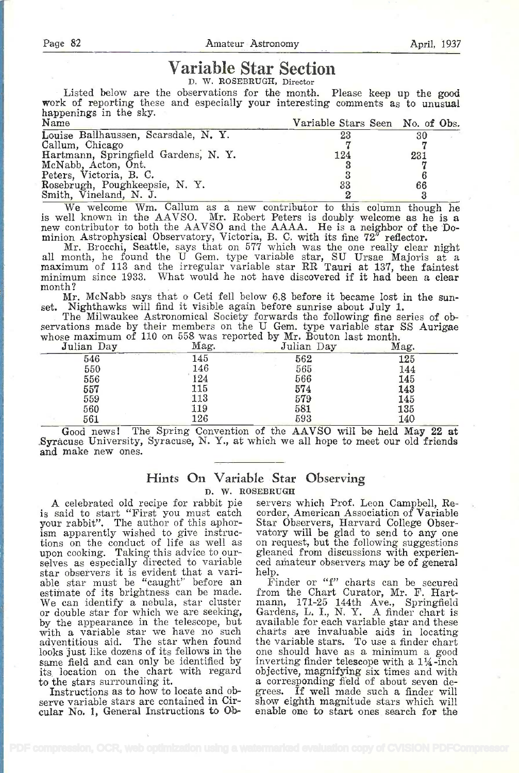# Variable Star Section

D. W. ROSEBRUGH, Director

Listed below are the observations for the month. Please keep up the good work of reporting these and especially your interesting comments as to unusual happenings in the sky.

| 23  | 30                                      |
|-----|-----------------------------------------|
|     |                                         |
| 124 | 231                                     |
|     |                                         |
|     |                                         |
| 33  | 66                                      |
|     |                                         |
|     | Variable Stars Seen No. of Obs.<br>1.11 |

We welcome Wm. Callum as a new contributor to this column though he is well known in the AAVSO. Mr. Robert Peters is doubly welcome as he is a new contributor to both the AAVSO and the AAAA. He is a neighbor of the -Do-

minion Astrophysical Observatory, Victoria, B. C. with its fine  $72^{\circ}$  reflector.<br>Mr. Brocchi, Seattle, says that on 577 which was the one really clear night<br>all month, he found the U Gem. type variable star, SU Ursae M minimum since 1933. What would he not have discovered if it had been a clear month?

month?<br>Mr. McNabb says that o Ceti fell below 6.8 before it became lost in the sun-<br>set. Nighthawks will find it visible again before sunrise about July 1.

The Milwaukee Astronomical Society forwards the following fine series of observations made by their members on the U Gem, type variable star SS Aurigae whose maximum of 110 on 558 was reported by Mr. Bouton last month.

| .<br>Julian Day | Mag.                                           | Julian Day | Mag. |
|-----------------|------------------------------------------------|------------|------|
| 546             | 10 x x = 1<br>$-24.5$<br>$\overline{a}$<br>145 | 562        | 125  |
| 550             | 146                                            | 565        | 144  |
| 556             | 124                                            | 566        | 145  |
| 557             | 115                                            | 574        | 143  |
| 559             | 113                                            | 579        | 145  |
| 560             | 119                                            | 581        | 135  |
| 561             | 126                                            | 593        | 140  |

Good news! The Spring Convention of the AAVSO will be held May 22 at Syracuse University, Syracuse, N. Y., at which we all hope to meet our old friends and make new ones.

#### Hints On Variable Star Observing D. W. ROSEBRUGH

A celebrated old recipe for rabbit pie is said to start "First you must catch your rabbit". The author of this aphorism apparently wished to give instructions on the conduct of life as well as tions on the conduct of life as well as on upon cooking. Taking this advice to our-<br>selves as especially directed to variable ced star observers it is evident that a variable star must be "caught" before an I estimate of its brightness can be made. fro We can identify a nebula, star cluster or double star for which we are seeking, by the appearance in the telescope, but available for each variable star and these with a variable star we have no such charts are invaluable aids in locating with a variable star we have no such cha adyentitious aid. The star when found the adventitious aid. The star when found the variable stars. To use a finder chart looks just like dozens of its fellows in the one should have as a minimum a good same field and can only be identified by inverting finder tel its, location on the chart with regard to the stars surrounding it.

Instructions as to how to locate and observe variable stars are contained in Circular No. 1, General Instructions to Ob-

servers which Prof. Leon Campbell, Recorder, American Association of Variable Star Observers, Harvard College Observatory will be glad to send to any one on request, but the following suggestions gleaned from discussions with experienced athateur observers may be of general help.

from the Chart Curator, Mr. F. Hartmann, 171-25 144th Ave., Springfield Gardens, L. I., N. Y. A finder chart is available for each variable star and these one should have as a minimum a good a corresponding field of about seven degrees. If well made such a finder will show eighth magnitude stars which will enable one to start ones search for the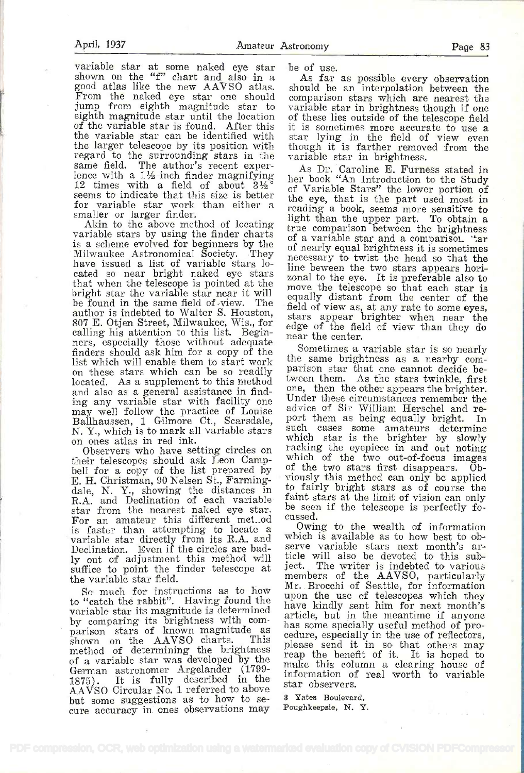variable star at some naked eye star be of use. shown on the "f" chart and also in a good atlas like the new AAVSO atlas. From the naked eye star one should jump from eighth magnitude star to variable star in brightness though if one eighth magnitude star until the location of the variable star is found. After this it is sometimes more accurate to use a the variable star can be identified with star lying in the field of view even the variable star can be identified with the larger telescope by its position with<br>regard to the surrounding stars in the regard to the surrounding stars in the variance same field. The author's recent exper-<br>ience with a  $1\frac{1}{2}$ -inch finder magnifying 12 times with a field of about  $3\frac{1}{2}$  of seems to indicate that this size is better the seems to indicate that this size is better<br>for variable star work than either a<br>smaller or larger finder.<br>Akin to the above method of locating

Akin to the above method of locating true comparison between the brightness<br>variable stars by using the finder charts of a variable star and a comparison. "An is a scheme evolved for beginners by the  $\sigma_f^2$ Milwaukee Astronomical Society. They have issued a list of variable stars lohave issued a list of variable stars lo-<br>cated so near bright naked eye stars that when the telescope is pointed at the bright star the variable star near it will  $_{\rm eq}$ be found in the same field of view. The  $\frac{eq}{dp}$ author is indebted to Walter S. Houston,  $\frac{\text{mean of view}}{\text{stars}}$  at any rate to some eyes, 807 E. Otjen Street, Milwaukee, Wis., for calling his attention to this list. Beginners, especially those without adequate ners, especially since with a copy of the Sometimes a variable star is so nearly ist which will enable them to start work the same brightness as a nearby comlist which which can be so readily parison star that one cannot decide belocated. As a supplement to this method ween them. As the stars twinkle, first<br>and also as a goneral assistance in find. one, then the other appears the brighter. and also as a general assistance in find-<br>ing any variable star with facility one may well follow the practice of Louise Bailhaussen, i Gilmore Ct., Scarsdale, N. Y., which is to mark all variable stars<br>on ones atlas in red ink.<br>Observers who have setting circles on

their telescopes should ask Leon Campbell for a comparator of the two out-of-focus images<br>bell for a copy of the list prepared by of the two stars first disappears. Ob-E. H. Christman, 90 Nelsen St., Farmingdale, N. Y., showing the distances in to<br>R.A. and Declination of each variable fair star from the nearest naked eye star. be s<br>For an amateur this different met.od cussos is faster than attempting to locate a<br>variable star directly from its R.A. and wh Declination. Even if the circles are badly out of adjustment this method will ticle<br> $\mathbf{r}$  is to point the finder telescope at ject. suffice to point the finder telescope at the variable star field.

to "catch the rabbit". Having found the upon the use of telescopes which they variable star its magnitude is determined<br>by comparing its brightness with com-<br>has some paraiolly useful method of me by comparing its brightness with com-<br>parison stars of known magnitude as has<br>shown on the AAVSO charts. This ple-<br>method of determining the brightness reaof a variable star was developed by the German astronomer Argelander (1799-<br>1875). It is fully described in the info<br>AAVSO Circular No. 1 referred to above stan but some suggestions as to how to se- cure accuracy in ones observations may

As far as possible every observation should be an interpolation between the comparison stars which are nearest the of these lies outside of the telescope field though it is farther removed from the variable star in brightness.

As Dr. Caroline E. Furness stated in her book "An Introduction to the Study of Variable Stars" the lower portion of the eye, that is the part used most in reading a book, seems more sensitive to light than the upper part. To obtain a true comparison between the brightness of a variable star and a comparisoi. ' $2\pi$  of nearly equal brightness it is sometimes of nearly equal brightness it is sometimes<br>necessary to twist the head so that the line beween the two stars appears horizonal to the eye. It is preferable also to move the telescope so that each star is equally distant from the center of the field of view as, at any rate to some eyes, edge of the field of view than they do near the center.

the same brightness as a nearby comtween them. As the stars twinkle, first Under these circumstances remember the advice of Sir William Herschel and report them as being equally bright. In such cases some amateurs determine which star is the brighter by slowly racking the eyepiece in and out noting which of the two out-of-focus images of the two stars first disappears. Obof the two stars first disappears. Obviously this method can only be applied to fairly bright stars as of course the be seen if the telescope is perfectly focussed.

 $S_0$  much for instructions as to how  $\mu$ . Brocchi of Seattle, for information  $S_0$  much for instructions as to how  $\mu$  mon the use of telegeomes which they Owing to the wealth of information<br>which is available as to how best to obwhich is available as to how best to observe variable stars next month's article will also be devoted to this sub-The writer is indebted to various members of the AAVSO, particularly upon the use of telescopes which they article, but in the meantime if anyone has some specially useful method of pro-<br>cedure, especially in the use of reflectors,<br>please send it in so that others may reap the benefit of it. It is hoped to make this column a clearing house of information of real worth to variable star observers.

> 3 Yates Boulevard, Poughkeepsie, N. Y.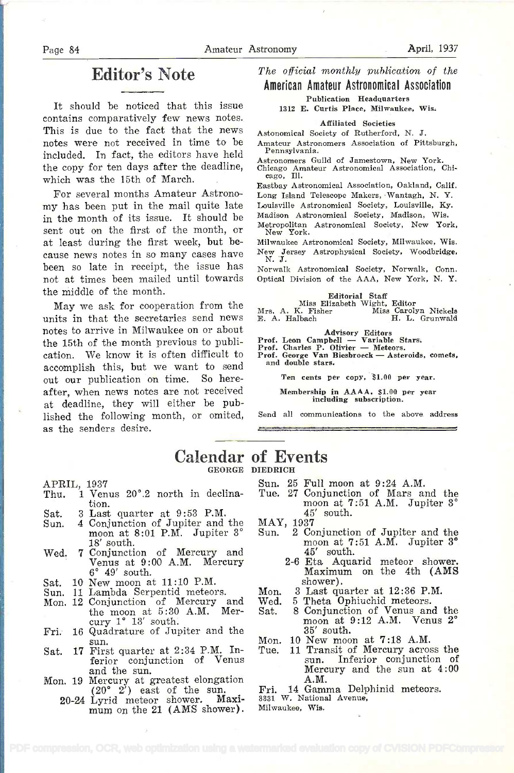# Editor's Note

It should be noticed that this issue contains comparatively few news notes. This is due to the fact that the news notes were not received in time to be Amateur Astron<br>included Transfort the editors have hold Pennsylvania. included. In fact, the editors have held the copy for ten days after the deadline, which was the 15th of March.

For several months Amateur Astronomy has been put in the mail quite late in the month of its issue. It should be sent out on the first of the month, or at least during the first week, but be cause news notes in so many cases have been so late in receipt, the issue has not at times been mailed until towards the middle of the month.

May we ask for cooperation from the Mrs. A. K. Fisher units in that the secretaries send news notes to arrive in Milwaukee on or about the 15th of the month previous to publication. We know it is often difficult to  $\frac{1}{1000}$  and  $\frac{1}{1000}$  and  $\frac{1}{1000}$  for  $\frac{1}{1000}$  for  $\frac{1}{1000}$  for  $\frac{1}{1000}$  for  $\frac{1}{1000}$  for  $\frac{1}{1000}$  for  $\frac{1}{1000}$  for  $\frac{1}{1000}$  for  $\frac{1}{1000$ accomplish this, but we want to send out our publication on time. So hereafter, when news notes are not received at deadline, they will either be published the following month, or omited, as the senders desire.

#### The official monthly publication of the American Amateur Astronomical Association

Publication Headquarters

1312 E. Curtis Piece, Milwaukee, Wis.

#### Affiliated Societies

Astonomical Society of Rutherford, N. J.

Amateur Astronomers Association of Pittsburgh,

Astronomers Guild of Jamestown, New York. Chicago Amateur Astronomical Association, Chi-cago. Ill.

Rastbay Astronomical Association, Oakland, Calif. Long Island Telescope Makers, Wantagh, N. Y.

Louisville Astronomical Society, Louisville. Ky.

Madison Astronomical Society, Madison, Wie.

Metropolitan Astronomical Society, New York. New York.

Milwaukee Astronomical Society, Milwaukee, Wis. New Jersey Astrophysical Society, Woodbridge, N. J.

Norwalk Astronomical Society, Norwalk, Conn. Optical Division of the AAA, New York, N. Y.

Editorial Staff Miss Elizabeth Wight, Editor Mrs. A. K. Fisher Miss Carolyn Nickels E. A. Halbach H. L. Grunwald

Advisory Editors<br>
Prof. Leon Campbell — Variable Stars.<br>
Prof. Charles P. Olivier — Meteors

Advisory Editors<br>Prof. Leon Campbell — Variable Stars.<br>Prof. Charles P. Olivier — Meteors.<br>Prof. George Van Biesbroeck — Asteroids, comets,<br>and double stars.

Ten cents per copy. \$1.00 per year.

Membership in AAAA. \$1.00 per year including subscription.

Send all communications to the above address

### Calendar of Events GEORGE DIEDRICH

APRIL, 1937

- Thu. i Venus 20°.2 north in declination.
- Sat. 3 Last quarter at 9:53 P.M.<br>Sun. 4 Conjunction of Jupiter and
- 4 Conjunction of Jupiter and the MAY<br>moon at 8:01 P.M. Jupiter 3° Sun. 18' south.
- Wed. 7 Conjunction of Mercury and Venus at 9:00 A.M. Mercury 6° 49' south.
- 
- 
- Sat. 10 New moon at 11:10 P.M. Sun. li Lambda Serpentid meteors. Mon. 12 Conjunction of Mercury and the moon at  $5:30$  A.M. Mer cury  $1^{\circ}$  13' south.
- Fri. 16 Quadrature of Jupiter and the sun.<br>Sat. 17 First quarter at 2:34 P.M. In-
- ferior conjunction of Venus<br>and the sun.
- and the sun.<br>Mon. 19 Mercury at greatest elongation
	- $(20° 2')$  east of the sun. Fri<br>  $20-24$  Lyrid meteor shower. Maxi-<br>
	mum on the 21 (AMS shower). Mill

Sun. 25 Full moon at 9:24 A.M.

- Tue. 27 Conjunction of Mars and the moon at 7:51 A.M. Jupiter 3° 45' south.
- MAY, 1937
	- 2 Conjunction of Jupiter and the moon at 7:51 A.M. Jupiter 3° 45' south.
		- 2-6 Eta Aquarid meteor shower. Maximum on the 4th (AMS shower).
- Mon. 3 Last quarter at 12:36 P.M.
- Wed. 5 Theta Ophiuchid meteors.
- 8 Conjunction of Venus and the moon at 9:12 A.M. Venus 2° 35' south.
- 
- Mon. 10 New moon at 7:18 A.M.<br>Tue. 11 Transit of Mercury across the sun. Inferior conjunction of Mercury and the sun at 4:00
- A.M.<br>14 Gamma Delphinid meteors. Fri. 14 Gamma Delp<br>3331 W. National Avenue,

Milwaukee, Wis.